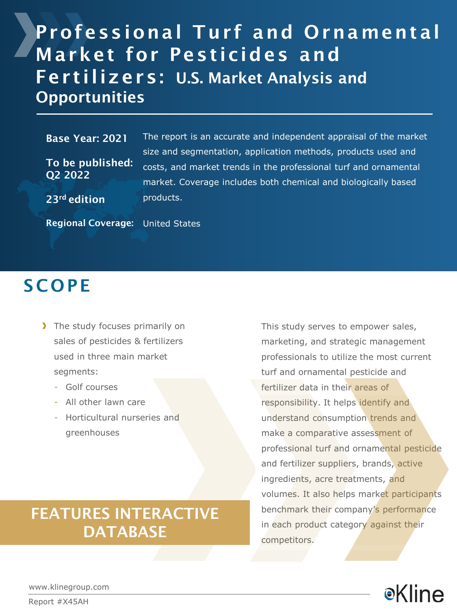# Professional Turf and Ornamental Market for Pesticides and Fertilizers: U.S. Market Analysis and **Opportunities**

#### Base Year: 2021

To be published: Q2 2022

The report is an accurate and independent appraisal of the market size and segmentation, application methods, products used and costs, and market trends in the professional turf and ornamental market. Coverage includes both chemical and biologically based products.

23rd edition

Regional Coverage: United States

### **SCOPE**

- The study focuses primarily on sales of pesticides & fertilizers used in three main market segments:
	- Golf courses
	- All other lawn care
	- Horticultural nurseries and greenhouses

### FEATURES INTERACTIVE **DATABASE**

This study serves to empower sales, marketing, and strategic management professionals to utilize the most current turf and ornamental pesticide and fertilizer data in their areas of responsibility. It helps identify and understand consumption trends and make a comparative assessment of professional turf and ornamental pesticide and fertilizer suppliers, brands, active ingredients, acre treatments, and volumes. It also helps market participants benchmark their company's performance in each product category against their competitors.

●Kline

www.klinegroup.com

Report #X45AH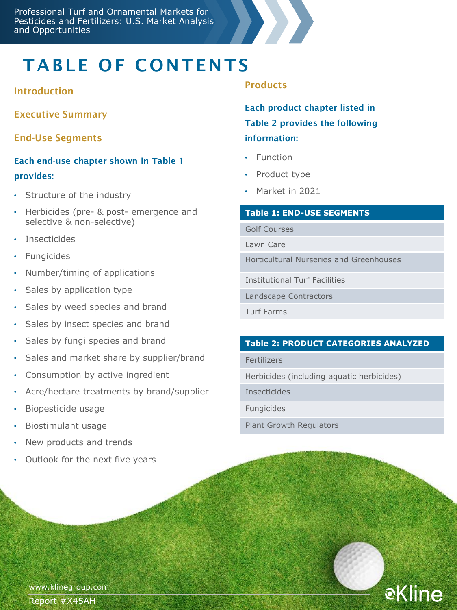# TABLE OF CONTENTS

#### Introduction

Executive Summary

End-Use Segments

### Each end-use chapter shown in Table 1 provides:

- Structure of the industry
- Herbicides (pre- & post- emergence and selective & non-selective)
- Insecticides
- **Fungicides**
- Number/timing of applications
- Sales by application type
- Sales by weed species and brand
- Sales by insect species and brand
- Sales by fungi species and brand
- Sales and market share by supplier/brand
- Consumption by active ingredient
- Acre/hectare treatments by brand/supplier
- Biopesticide usage
- Biostimulant usage
- New products and trends
- Outlook for the next five years

#### **Products**

Each product chapter listed in Table 2 provides the following information:

- Function
- Product type
- Market in 2021

#### **Table 1: END-USE SEGMENTS**

Golf Courses

Lawn Care

Horticultural Nurseries and Greenhouses

Institutional Turf Facilities

Landscape Contractors

Turf Farms

#### **Table 2: PRODUCT CATEGORIES ANALYZED**

**eKline** 

Fertilizers

Herbicides (including aquatic herbicides)

Insecticides

Fungicides

Plant Growth Regulators

www.klinegroup.com Report #X45AH